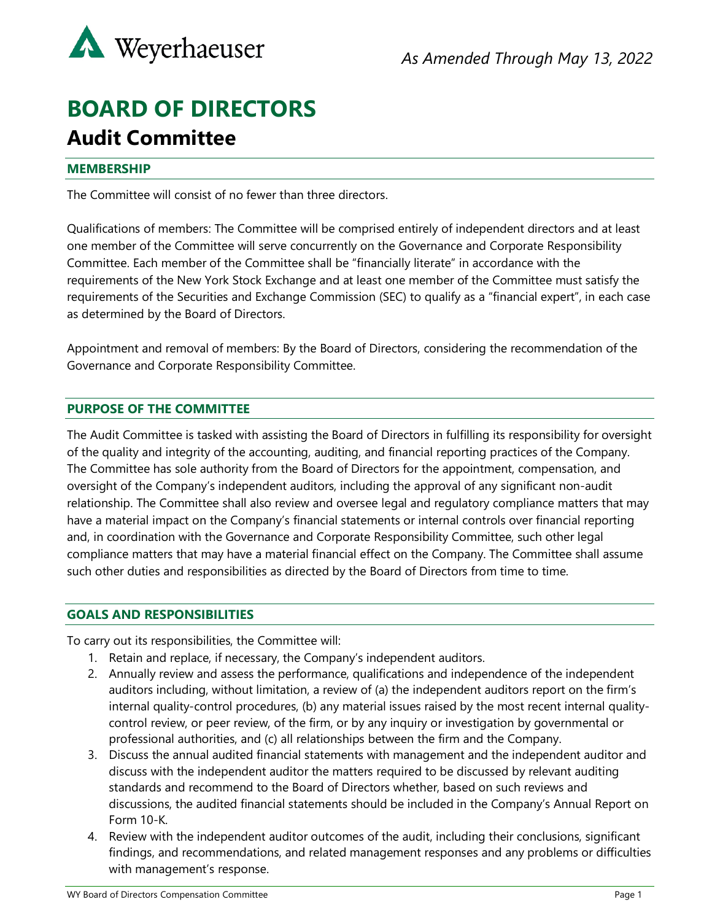

# **BOARD OF DIRECTORS Audit Committee**

## **MEMBERSHIP**

The Committee will consist of no fewer than three directors.

Qualifications of members: The Committee will be comprised entirely of independent directors and at least one member of the Committee will serve concurrently on the Governance and Corporate Responsibility Committee. Each member of the Committee shall be "financially literate" in accordance with the requirements of the New York Stock Exchange and at least one member of the Committee must satisfy the requirements of the Securities and Exchange Commission (SEC) to qualify as a "financial expert", in each case as determined by the Board of Directors.

Appointment and removal of members: By the Board of Directors, considering the recommendation of the Governance and Corporate Responsibility Committee.

## **PURPOSE OF THE COMMITTEE**

The Audit Committee is tasked with assisting the Board of Directors in fulfilling its responsibility for oversight of the quality and integrity of the accounting, auditing, and financial reporting practices of the Company. The Committee has sole authority from the Board of Directors for the appointment, compensation, and oversight of the Company's independent auditors, including the approval of any significant non-audit relationship. The Committee shall also review and oversee legal and regulatory compliance matters that may have a material impact on the Company's financial statements or internal controls over financial reporting and, in coordination with the Governance and Corporate Responsibility Committee, such other legal compliance matters that may have a material financial effect on the Company. The Committee shall assume such other duties and responsibilities as directed by the Board of Directors from time to time.

#### **GOALS AND RESPONSIBILITIES**

To carry out its responsibilities, the Committee will:

- 1. Retain and replace, if necessary, the Company's independent auditors.
- 2. Annually review and assess the performance, qualifications and independence of the independent auditors including, without limitation, a review of (a) the independent auditors report on the firm's internal quality-control procedures, (b) any material issues raised by the most recent internal qualitycontrol review, or peer review, of the firm, or by any inquiry or investigation by governmental or professional authorities, and (c) all relationships between the firm and the Company.
- 3. Discuss the annual audited financial statements with management and the independent auditor and discuss with the independent auditor the matters required to be discussed by relevant auditing standards and recommend to the Board of Directors whether, based on such reviews and discussions, the audited financial statements should be included in the Company's Annual Report on Form 10-K.
- 4. Review with the independent auditor outcomes of the audit, including their conclusions, significant findings, and recommendations, and related management responses and any problems or difficulties with management's response.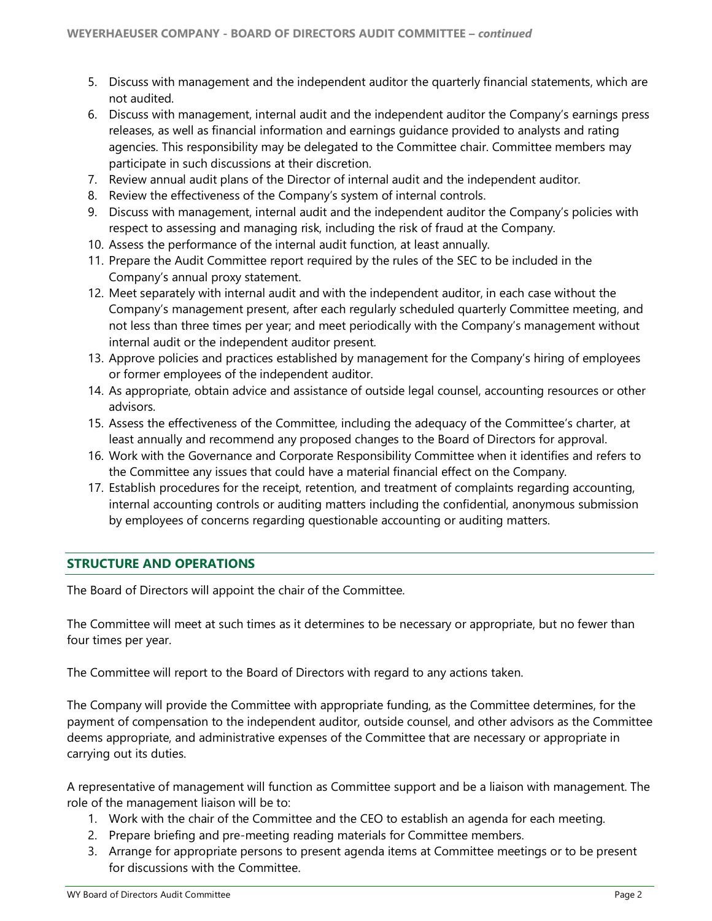- 5. Discuss with management and the independent auditor the quarterly financial statements, which are not audited.
- 6. Discuss with management, internal audit and the independent auditor the Company's earnings press releases, as well as financial information and earnings guidance provided to analysts and rating agencies. This responsibility may be delegated to the Committee chair. Committee members may participate in such discussions at their discretion.
- 7. Review annual audit plans of the Director of internal audit and the independent auditor.
- 8. Review the effectiveness of the Company's system of internal controls.
- 9. Discuss with management, internal audit and the independent auditor the Company's policies with respect to assessing and managing risk, including the risk of fraud at the Company.
- 10. Assess the performance of the internal audit function, at least annually.
- 11. Prepare the Audit Committee report required by the rules of the SEC to be included in the Company's annual proxy statement.
- 12. Meet separately with internal audit and with the independent auditor, in each case without the Company's management present, after each regularly scheduled quarterly Committee meeting, and not less than three times per year; and meet periodically with the Company's management without internal audit or the independent auditor present.
- 13. Approve policies and practices established by management for the Company's hiring of employees or former employees of the independent auditor.
- 14. As appropriate, obtain advice and assistance of outside legal counsel, accounting resources or other advisors.
- 15. Assess the effectiveness of the Committee, including the adequacy of the Committee's charter, at least annually and recommend any proposed changes to the Board of Directors for approval.
- 16. Work with the Governance and Corporate Responsibility Committee when it identifies and refers to the Committee any issues that could have a material financial effect on the Company.
- 17. Establish procedures for the receipt, retention, and treatment of complaints regarding accounting, internal accounting controls or auditing matters including the confidential, anonymous submission by employees of concerns regarding questionable accounting or auditing matters.

# **STRUCTURE AND OPERATIONS**

The Board of Directors will appoint the chair of the Committee.

The Committee will meet at such times as it determines to be necessary or appropriate, but no fewer than four times per year.

The Committee will report to the Board of Directors with regard to any actions taken.

The Company will provide the Committee with appropriate funding, as the Committee determines, for the payment of compensation to the independent auditor, outside counsel, and other advisors as the Committee deems appropriate, and administrative expenses of the Committee that are necessary or appropriate in carrying out its duties.

A representative of management will function as Committee support and be a liaison with management. The role of the management liaison will be to:

- 1. Work with the chair of the Committee and the CEO to establish an agenda for each meeting.
- 2. Prepare briefing and pre-meeting reading materials for Committee members.
- 3. Arrange for appropriate persons to present agenda items at Committee meetings or to be present for discussions with the Committee.